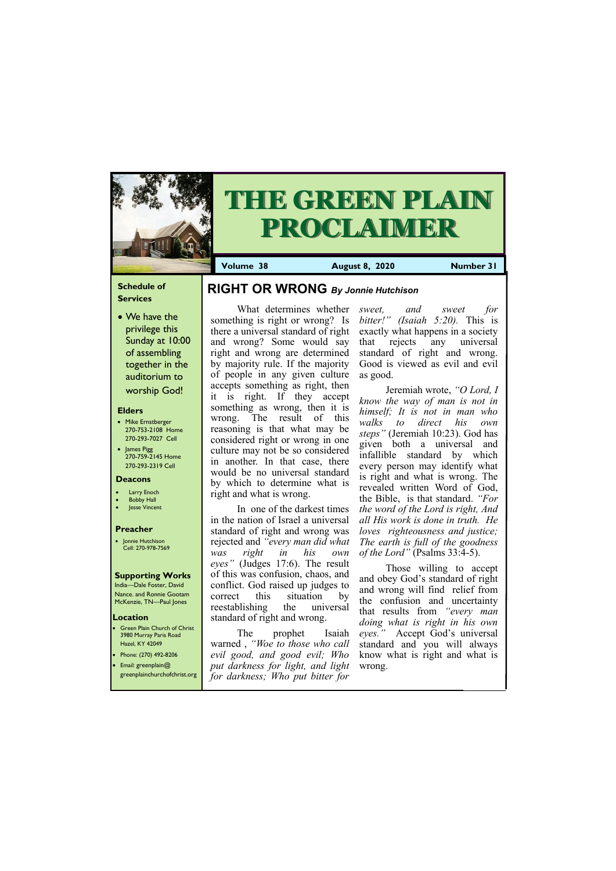## **Schedule of Services**

• We have the privilege this Sunday at 10:00 of assembling together in the auditorium to worship God!

## **Elders**

Green Plain Church of Christ 3980 Murray Paris Road Hazel, KY 42049 • Phone: (270) 492-8206

- Mike Ernstberger 270-753-2108 Home 270-293-7027 Cell
- James Pigg 270-759-2145 Home 270-293-2319 Cell

### **Location**



# **THE GREEN PLAIN PROCLAIMER**

**Volume 38 August 8, 2020 Mumber 31** 

#### **Deacons**

- **Larry Enoch**
- **Bobby Hall**
- Jesse Vincent

## **Preacher**

• Jonnie Hutchison Cell: 270-978-7569

## **Supporting Works**

India—Dale Foster, David Nance. and Ronnie Gootam McKenzie, TN—Paul Jones

there a universal standard of right and wrong? Some would say right and wrong are determined by majority rule. If the majority of people in any given culture accepts something as right, then it is right. If they accept something as wrong, then it is wrong. The result of this reasoning is that what may be considered right or wrong in one culture may not be so considered in another. In that case, there would be no universal standard by which to determine what is right and what is wrong.

What determines whether *sweet, and sweet for*  something is right or wrong? Is *bitter!" (Isaiah 5:20).* This is exactly what happens in a society that rejects any universal standard of right and wrong. Good is viewed as evil and evil as good.

In one of the darkest times in the nation of Israel a universal standard of right and wrong was rejected and *"every man did what was right in his own eyes"* (Judges 17:6). The result of this was confusion, chaos, and conflict. God raised up judges to correct this situation by reestablishing the universal standard of right and wrong.

| $\bullet$ Email: greenplain@ | put darkness for light, and light wrong.<br>greenplainchurchofchrist.org for darkness; Who put bitter for |  |
|------------------------------|-----------------------------------------------------------------------------------------------------------|--|
|                              |                                                                                                           |  |

The prophet Isaiah warned , *"Woe to those who call evil good, and good evil; Who* 

Jeremiah wrote, *"O Lord, I know the way of man is not in himself; It is not in man who walks to direct his own steps"* (Jeremiah 10:23). God has given both a universal and infallible standard by which every person may identify what is right and what is wrong. The revealed written Word of God, the Bible, is that standard. *"For the word of the Lord is right, And all His work is done in truth. He loves righteousness and justice; The earth is full of the goodness of the Lord"* (Psalms 33:4-5).

Those willing to accept and obey God's standard of right and wrong will find relief from the confusion and uncertainty that results from *"every man doing what is right in his own eyes."* Accept God's universal standard and you will always know what is right and what is

## **RIGHT OR WRONG** *By Jonnie Hutchison*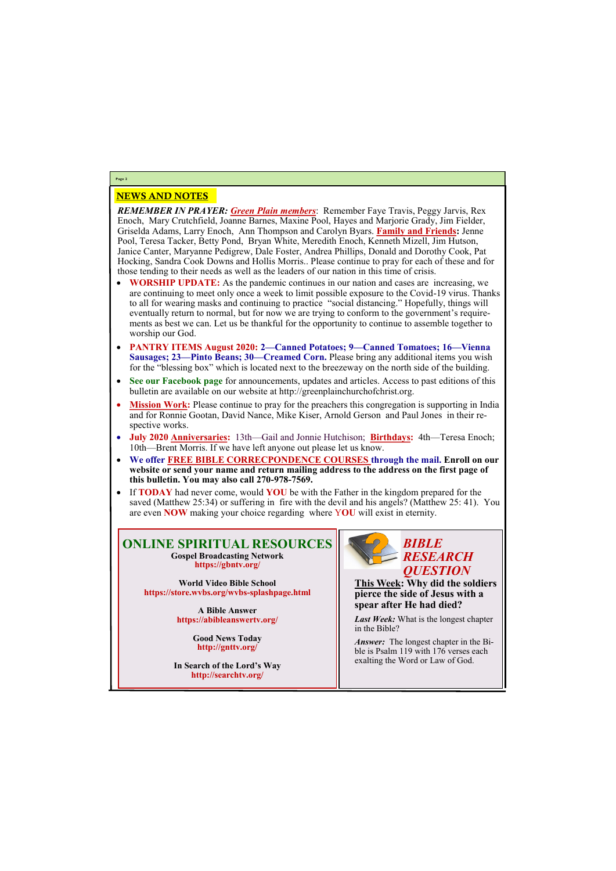## NEWS AND NOTES

*REMEMBER IN PRAYER: Green Plain members*: Remember Faye Travis, Peggy Jarvis, Rex Enoch, Mary Crutchfield, Joanne Barnes, Maxine Pool, Hayes and Marjorie Grady, Jim Fielder, Griselda Adams, Larry Enoch, Ann Thompson and Carolyn Byars. **Family and Friends:** Jenne Pool, Teresa Tacker, Betty Pond, Bryan White, Meredith Enoch, Kenneth Mizell, Jim Hutson, Janice Canter, Maryanne Pedigrew, Dale Foster, Andrea Phillips, Donald and Dorothy Cook, Pat Hocking, Sandra Cook Downs and Hollis Morris.. Please continue to pray for each of these and for those tending to their needs as well as the leaders of our nation in this time of crisis.

- **WORSHIP UPDATE:** As the pandemic continues in our nation and cases are increasing, we are continuing to meet only once a week to limit possible exposure to the Covid-19 virus. Thanks to all for wearing masks and continuing to practice "social distancing." Hopefully, things will eventually return to normal, but for now we are trying to conform to the government's requirements as best we can. Let us be thankful for the opportunity to continue to assemble together to worship our God.
- **PANTRY ITEMS August 2020: 2—Canned Potatoes; 9—Canned Tomatoes; 16—Vienna Sausages; 23—Pinto Beans; 30—Creamed Corn.** Please bring any additional items you wish for the "blessing box" which is located next to the breezeway on the north side of the building.
- **See our Facebook page** for announcements, updates and articles. Access to past editions of this bulletin are available on our website at http://greenplainchurchofchrist.org.
- Mission Work: Please continue to pray for the preachers this congregation is supporting in India and for Ronnie Gootan, David Nance, Mike Kiser, Arnold Gerson and Paul Jones in their respective works.
- **July 2020 Anniversaries:** 13th—Gail and Jonnie Hutchison; **Birthdays:** 4th—Teresa Enoch; 10th—Brent Morris. If we have left anyone out please let us know.
- **We offer FREE BIBLE CORRECPONDENCE COURSES through the mail. Enroll on our website or send your name and return mailing address to the address on the first page of this bulletin. You may also call 270-978-7569.**
- If **TODAY** had never come, would **YOU** be with the Father in the kingdom prepared for the saved (Matthew 25:34) or suffering in fire with the devil and his angels? (Matthew 25: 41). You are even **NOW** making your choice regarding where Y**OU** will exist in eternity.

*Answer:* The longest chapter in the Bible is Psalm 119 with 176 verses each

**Page 2**

## **ONLINE SPIRITUAL RESOURCES Gospel Broadcasting Network https://gbntv.org/**

**World Video Bible School https://store.wvbs.org/wvbs-splashpage.html**

> **A Bible Answer https://abibleanswertv.org/**

> > **Good News Today http://gnttv.org/**

**In Search of the Lord's Way http://searchtv.org/**



**This Week: Why did the soldiers pierce the side of Jesus with a spear after He had died?**

*Last Week:* What is the longest chapter in the Bible?

exalting the Word or Law of God.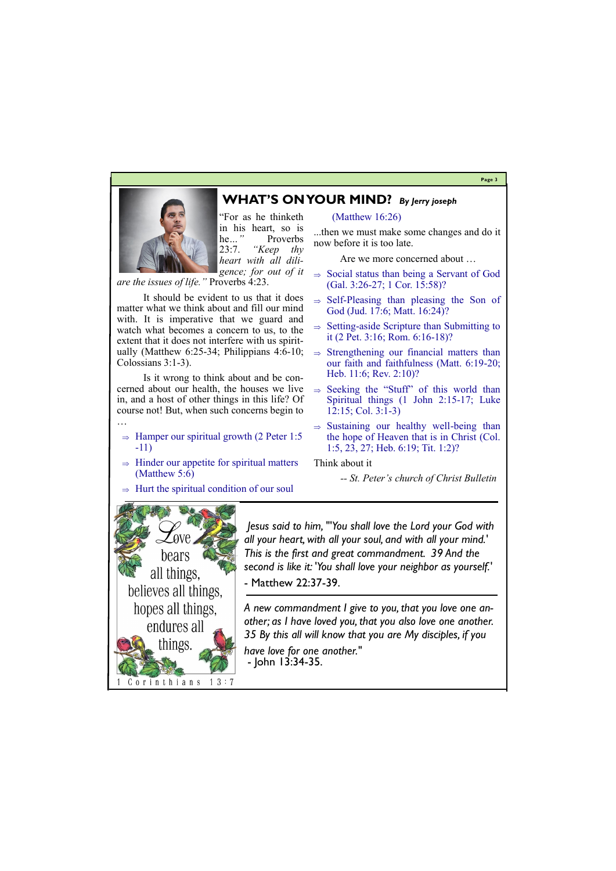#### **Page 3**

## **WHAT'S ON YOUR MIND?** *By Jerry joseph*



"For as he thinketh in his heart, so is he*…"* Proverbs 23:7. *"Keep thy heart with all diligence; for out of it* 

*are the issues of life."* Proverbs 4:23.

It should be evident to us that it does matter what we think about and fill our mind with. It is imperative that we guard and watch what becomes a concern to us, to the extent that it does not interfere with us spiritually (Matthew 6:25-34; Philippians 4:6-10; Colossians 3:1-3).

Is it wrong to think about and be concerned about our health, the houses we live in, and a host of other things in this life? Of course not! But, when such concerns begin to …

- $\Rightarrow$  Hamper our spiritual growth (2 Peter 1:5 -11)
- $\Rightarrow$  Hinder our appetite for spiritual matters (Matthew 5:6)
- $\Rightarrow$  Hurt the spiritual condition of our soul

## **Love** bears all things, believes all things, hopes all things, endures all things.

- $\Rightarrow$  Social status than being a Servant of God (Gal. 3:26-27; 1 Cor. 15:58)?
- $\Rightarrow$  Self-Pleasing than pleasing the Son of God (Jud. 17:6; Matt. 16:24)?
- $\Rightarrow$  Setting-aside Scripture than Submitting to it (2 Pet. 3:16; Rom. 6:16-18)?
- $\Rightarrow$  Strengthening our financial matters than our faith and faithfulness (Matt. 6:19-20; Heb. 11:6; Rev. 2:10)?
- $\Rightarrow$  Seeking the "Stuff" of this world than Spiritual things (1 John 2:15-17; Luke 12:15; Col. 3:1-3)
- $\Rightarrow$  Sustaining our healthy well-being than the hope of Heaven that is in Christ (Col. 1:5, 23, 27; Heb. 6:19; Tit. 1:2)?

(Matthew 16:26)

...then we must make some changes and do it now before it is too late.

Are we more concerned about …

Think about it

 *-- St. Peter's church of Christ Bulletin*

*Jesus said to him, "'You shall love the Lord your God with all your heart, with all your soul, and with all your mind.' This is the first and great commandment. 39 And the second is like it: 'You shall love your neighbor as yourself.'* - Matthew 22:37-39.

*A new commandment I give to you, that you love one another; as I have loved you, that you also love one another. 35 By this all will know that you are My disciples, if you have love for one another."*